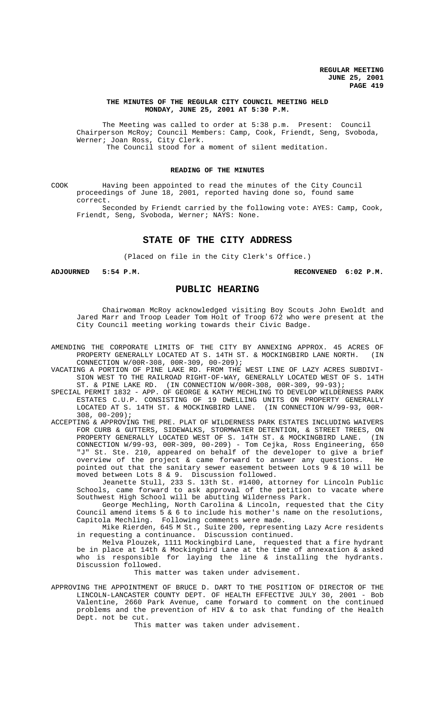## **THE MINUTES OF THE REGULAR CITY COUNCIL MEETING HELD MONDAY, JUNE 25, 2001 AT 5:30 P.M.**

The Meeting was called to order at 5:38 p.m. Present: Council Chairperson McRoy; Council Members: Camp, Cook, Friendt, Seng, Svoboda, Werner; Joan Ross, City Clerk. The Council stood for a moment of silent meditation.

# **READING OF THE MINUTES**

COOK Having been appointed to read the minutes of the City Council proceedings of June 18, 2001, reported having done so, found same correct.

Seconded by Friendt carried by the following vote: AYES: Camp, Cook, Friendt, Seng, Svoboda, Werner; NAYS: None.

# **STATE OF THE CITY ADDRESS**

(Placed on file in the City Clerk's Office.)

**ADJOURNED 5:54 P.M. RECONVENED 6:02 P.M.**

# **PUBLIC HEARING**

Chairwoman McRoy acknowledged visiting Boy Scouts John Ewoldt and Jared Marr and Troop Leader Tom Holt of Troop 672 who were present at the City Council meeting working towards their Civic Badge.

- AMENDING THE CORPORATE LIMITS OF THE CITY BY ANNEXING APPROX. 45 ACRES OF PROPERTY GENERALLY LOCATED AT S. 14TH ST. & MOCKINGBIRD LANE NORTH. (IN CONNECTION W/00R-308, 00R-309, 00-209);
- VACATING A PORTION OF PINE LAKE RD. FROM THE WEST LINE OF LAZY ACRES SUBDIVI-SION WEST TO THE RAILROAD RIGHT-OF-WAY, GENERALLY LOCATED WEST OF S. 14TH ST. & PINE LAKE RD. (IN CONNECTION W/00R-308, 00R-309, 99-93);
- SPECIAL PERMIT 1832 APP. OF GEORGE & KATHY MECHLING TO DEVELOP WILDERNESS PARK ESTATES C.U.P. CONSISTING OF 19 DWELLING UNITS ON PROPERTY GENERALLY LOCATED AT S. 14TH ST. & MOCKINGBIRD LANE. (IN CONNECTION W/99-93, 00R-308, 00-209);
- ACCEPTING & APPROVING THE PRE. PLAT OF WILDERNESS PARK ESTATES INCLUDING WAIVERS FOR CURB & GUTTERS, SIDEWALKS, STORMWATER DETENTION, & STREET TREES, ON PROPERTY GENERALLY LOCATED WEST OF S. 14TH ST. & MOCKINGBIRD LANE. (IN CONNECTION W/99-93, 00R-309, 00-209) - Tom Cejka, Ross Engineering, 650 "J" St. Ste. 210, appeared on behalf of the developer to give a brief overview of the project & came forward to answer any questions. He pointed out that the sanitary sewer easement between Lots 9 & 10 will be moved between Lots 8 & 9. Discussion followed.

Jeanette Stull, 233 S. 13th St. #1400, attorney for Lincoln Public Schools, came forward to ask approval of the petition to vacate where Southwest High School will be abutting Wilderness Park.

George Mechling, North Carolina & Lincoln, requested that the City Council amend items 5 & 6 to include his mother's name on the resolutions, Capitola Mechling. Following comments were made.

Mike Rierden, 645 M St., Suite 200, representing Lazy Acre residents in requesting a continuance. Discussion continued.

Melva Plouzek, 1111 Mockingbird Lane, requested that a fire hydrant be in place at 14th & Mockingbird Lane at the time of annexation & asked who is responsible for laying the line & installing the hydrants. Discussion followed.

This matter was taken under advisement.

APPROVING THE APPOINTMENT OF BRUCE D. DART TO THE POSITION OF DIRECTOR OF THE LINCOLN-LANCASTER COUNTY DEPT. OF HEALTH EFFECTIVE JULY 30, 2001 - Bob Valentine, 2660 Park Avenue, came forward to comment on the continued problems and the prevention of HIV & to ask that funding of the Health Dept. not be cut.

This matter was taken under advisement.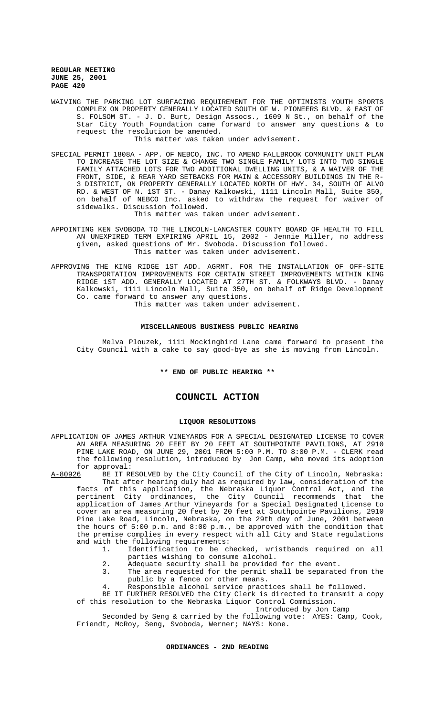WAIVING THE PARKING LOT SURFACING REQUIREMENT FOR THE OPTIMISTS YOUTH SPORTS COMPLEX ON PROPERTY GENERALLY LOCATED SOUTH OF W. PIONEERS BLVD. & EAST OF S. FOLSOM ST. - J. D. Burt, Design Assocs., 1609 N St., on behalf of the Star City Youth Foundation came forward to answer any questions & to request the resolution be amended.

This matter was taken under advisement.

SPECIAL PERMIT 1808A - APP. OF NEBCO, INC. TO AMEND FALLBROOK COMMUNITY UNIT PLAN TO INCREASE THE LOT SIZE & CHANGE TWO SINGLE FAMILY LOTS INTO TWO SINGLE FAMILY ATTACHED LOTS FOR TWO ADDITIONAL DWELLING UNITS, & A WAIVER OF THE FRONT, SIDE, & REAR YARD SETBACKS FOR MAIN & ACCESSORY BUILDINGS IN THE R-3 DISTRICT, ON PROPERTY GENERALLY LOCATED NORTH OF HWY. 34, SOUTH OF ALVO RD. & WEST OF N. 1ST ST. - Danay Kalkowski, 1111 Lincoln Mall, Suite 350, on behalf of NEBCO Inc. asked to withdraw the request for waiver of sidewalks. Discussion followed.

This matter was taken under advisement.

- APPOINTING KEN SVOBODA TO THE LINCOLN-LANCASTER COUNTY BOARD OF HEALTH TO FILL AN UNEXPIRED TERM EXPIRING APRIL 15, 2002 - Jennie Miller, no address given, asked questions of Mr. Svoboda. Discussion followed. This matter was taken under advisement.
- APPROVING THE KING RIDGE 1ST ADD. AGRMT. FOR THE INSTALLATION OF OFF-SITE TRANSPORTATION IMPROVEMENTS FOR CERTAIN STREET IMPROVEMENTS WITHIN KING RIDGE 1ST ADD. GENERALLY LOCATED AT 27TH ST. & FOLKWAYS BLVD. - Danay Kalkowski, 1111 Lincoln Mall, Suite 350, on behalf of Ridge Development Co. came forward to answer any questions.

This matter was taken under advisement.

### **MISCELLANEOUS BUSINESS PUBLIC HEARING**

Melva Plouzek, 1111 Mockingbird Lane came forward to present the City Council with a cake to say good-bye as she is moving from Lincoln.

# **\*\* END OF PUBLIC HEARING \*\***

# **COUNCIL ACTION**

#### **LIQUOR RESOLUTIONS**

APPLICATION OF JAMES ARTHUR VINEYARDS FOR A SPECIAL DESIGNATED LICENSE TO COVER AN AREA MEASURING 20 FEET BY 20 FEET AT SOUTHPOINTE PAVILIONS, AT 2910 PINE LAKE ROAD, ON JUNE 29, 2001 FROM 5:00 P.M. TO 8:00 P.M. - CLERK read the following resolution, introduced by Jon Camp, who moved its adoption

for approval:<br><u>A-80926</u> BE IT RI BE IT RESOLVED by the City Council of the City of Lincoln, Nebraska: That after hearing duly had as required by law, consideration of the

facts of this application, the Nebraska Liquor Control Act, and the pertinent City ordinances, the City Council recommends that the application of James Arthur Vineyards for a Special Designated License to cover an area measuring 20 feet by 20 feet at Southpointe Pavilions, 2910 Pine Lake Road, Lincoln, Nebraska, on the 29th day of June, 2001 between the hours of 5:00 p.m. and 8:00 p.m., be approved with the condition that the premise complies in every respect with all City and State regulations and with the following requirements:<br>1 Identification to be ch

- 1. Identification to be checked, wristbands required on all parties wishing to consume alcohol.
- 2. Adequate security shall be provided for the event.
- 3. The area requested for the permit shall be separated from the public by a fence or other means.
- 4. Responsible alcohol service practices shall be followed.
- BE IT FURTHER RESOLVED the City Clerk is directed to transmit a copy

of this resolution to the Nebraska Liquor Control Commission. Introduced by Jon Camp

Seconded by Seng & carried by the following vote: AYES: Camp, Cook, Friendt, McRoy, Seng, Svoboda, Werner; NAYS: None.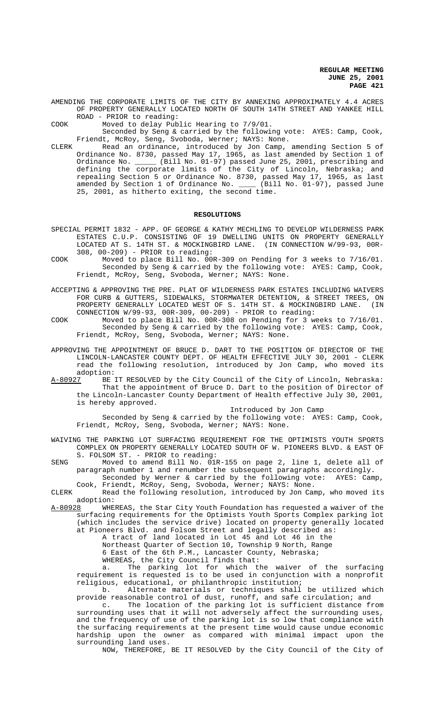AMENDING THE CORPORATE LIMITS OF THE CITY BY ANNEXING APPROXIMATELY 4.4 ACRES OF PROPERTY GENERALLY LOCATED NORTH OF SOUTH 14TH STREET AND YANKEE HILL ROAD - PRIOR to reading:

COOK Moved to delay Public Hearing to 7/9/01.

Seconded by Seng & carried by the following vote: AYES: Camp, Cook, Friendt, McRoy, Seng, Svoboda, Werner; NAYS: None.

CLERK Read an ordinance, introduced by Jon Camp, amending Section 5 of Ordinance No. 8730, passed May 17, 1965, as last amended by Section 1 of Ordinance No. \_\_\_\_\_ (Bill No. 01-97) passed June 25, 2001, prescribing and defining the corporate limits of the City of Lincoln, Nebraska; and repealing Section 5 or Ordinance No. 8730, passed May 17, 1965, as last amended by Section 1 of Ordinance No. \_\_\_\_ (Bill No. 01-97), passed June 25, 2001, as hitherto exiting, the second time.

### **RESOLUTIONS**

- SPECIAL PERMIT 1832 APP. OF GEORGE & KATHY MECHLING TO DEVELOP WILDERNESS PARK ESTATES C.U.P. CONSISTING OF 19 DWELLING UNITS ON PROPERTY GENERALLY LOCATED AT S. 14TH ST. & MOCKINGBIRD LANE. (IN CONNECTION W/99-93, 00R-308, 00-209) - PRIOR to reading:
- COOK Moved to place Bill No. 00R-309 on Pending for 3 weeks to 7/16/01. Seconded by Seng & carried by the following vote: AYES: Camp, Cook, Friendt, McRoy, Seng, Svoboda, Werner; NAYS: None.
- ACCEPTING & APPROVING THE PRE. PLAT OF WILDERNESS PARK ESTATES INCLUDING WAIVERS FOR CURB & GUTTERS, SIDEWALKS, STORMWATER DETENTION, & STREET TREES, ON PROPERTY GENERALLY LOCATED WEST OF S. 14TH ST. & MOCKINGBIRD LANE. (IN CONNECTION W/99-93, 00R-309, 00-209) - PRIOR to reading:
- COOK Moved to place Bill No. 00R-308 on Pending for 3 weeks to 7/16/01. Seconded by Seng & carried by the following vote: AYES: Camp, Cook, Friendt, McRoy, Seng, Svoboda, Werner; NAYS: None.
- APPROVING THE APPOINTMENT OF BRUCE D. DART TO THE POSITION OF DIRECTOR OF THE LINCOLN-LANCASTER COUNTY DEPT. OF HEALTH EFFECTIVE JULY 30, 2001 - CLERK read the following resolution, introduced by Jon Camp, who moved its adoption:
- A-80927 BE IT RESOLVED by the City Council of the City of Lincoln, Nebraska: That the appointment of Bruce D. Dart to the position of Director of the Lincoln-Lancaster County Department of Health effective July 30, 2001, is hereby approved.

Introduced by Jon Camp

Seconded by Seng & carried by the following vote: AYES: Camp, Cook, Friendt, McRoy, Seng, Svoboda, Werner; NAYS: None.

## WAIVING THE PARKING LOT SURFACING REQUIREMENT FOR THE OPTIMISTS YOUTH SPORTS COMPLEX ON PROPERTY GENERALLY LOCATED SOUTH OF W. PIONEERS BLVD. & EAST OF S. FOLSOM ST. - PRIOR to reading:

SENG Moved to amend Bill No. 01R-155 on page 2, line 1, delete all of paragraph number 1 and renumber the subsequent paragraphs accordingly.

- Seconded by Werner & carried by the following vote: AYES: Camp, Cook, Friendt, McRoy, Seng, Svoboda, Werner; NAYS: None.
- CLERK Read the following resolution, introduced by Jon Camp, who moved its adoption:<br>A-80928 WHE
- WHEREAS, the Star City Youth Foundation has requested a waiver of the surfacing requirements for the Optimists Youth Sports Complex parking lot (which includes the service drive) located on property generally located at Pioneers Blvd. and Folsom Street and legally described as:

A tract of land located in Lot 45 and Lot 46 in the Northeast Quarter of Section 10, Township 9 North, Range

6 East of the 6th P.M., Lancaster County, Nebraska;

WHEREAS, the City Council finds that:

a. The parking lot for which the waiver of the surfacing requirement is requested is to be used in conjunction with a nonprofit religious, educational, or philanthropic institution;

b. Alternate materials or techniques shall be utilized which provide reasonable control of dust, runoff, and safe circulation; and

c. The location of the parking lot is sufficient distance from surrounding uses that it will not adversely affect the surrounding uses, and the frequency of use of the parking lot is so low that compliance with the surfacing requirements at the present time would cause undue economic hardship upon the owner as compared with minimal impact upon the surrounding land uses.

NOW, THEREFORE, BE IT RESOLVED by the City Council of the City of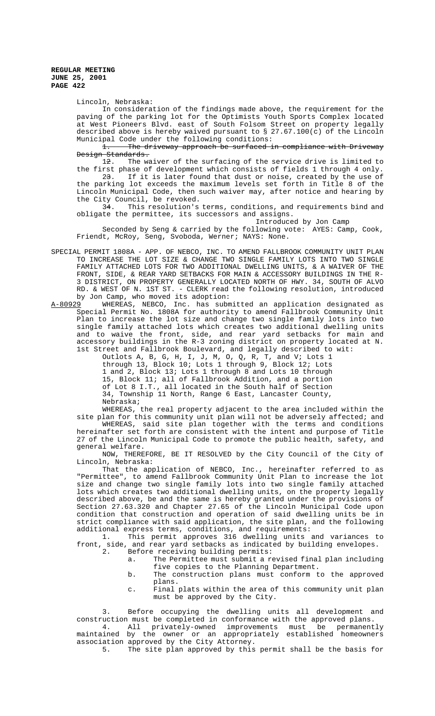Lincoln, Nebraska:

In consideration of the findings made above, the requirement for the paving of the parking lot for the Optimists Youth Sports Complex located at West Pioneers Blvd. east of South Folsom Street on property legally described above is hereby waived pursuant to § 27.67.100(c) of the Lincoln Municipal Code under the following conditions:

1. The driveway approach be surfaced in compliance with Driveway Design Standards.

12. The waiver of the surfacing of the service drive is limited to the first phase of development which consists of fields 1 through 4 only. 23. If it is later found that dust or noise, created by the use of the parking lot exceeds the maximum levels set forth in Title 8 of the Lincoln Municipal Code, then such waiver may, after notice and hearing by the City Council, be revoked.

34. This resolution's terms, conditions, and requirements bind and obligate the permittee, its successors and assigns.

Introduced by Jon Camp

Seconded by Seng & carried by the following vote: AYES: Camp, Cook, Friendt, McRoy, Seng, Svoboda, Werner; NAYS: None.

- SPECIAL PERMIT 1808A APP. OF NEBCO, INC. TO AMEND FALLBROOK COMMUNITY UNIT PLAN TO INCREASE THE LOT SIZE & CHANGE TWO SINGLE FAMILY LOTS INTO TWO SINGLE FAMILY ATTACHED LOTS FOR TWO ADDITIONAL DWELLING UNITS, & A WAIVER OF THE FRONT, SIDE, & REAR YARD SETBACKS FOR MAIN & ACCESSORY BUILDINGS IN THE R-3 DISTRICT, ON PROPERTY GENERALLY LOCATED NORTH OF HWY. 34, SOUTH OF ALVO RD. & WEST OF N. 1ST ST. - CLERK read the following resolution, introduced by Jon Camp, who moved its adoption:
- A-80929 WHEREAS, NEBCO, Inc. has submitted an application designated as Special Permit No. 1808A for authority to amend Fallbrook Community Unit Plan to increase the lot size and change two single family lots into two single family attached lots which creates two additional dwelling units and to waive the front, side, and rear yard setbacks for main and accessory buildings in the R-3 zoning district on property located at N. 1st Street and Fallbrook Boulevard, and legally described to wit:

Outlots A, B, G, H, I, J, M, O, Q, R, T, and V; Lots 1 through 13, Block 10; Lots 1 through 9, Block 12; Lots 1 and 2, Block 13; Lots 1 through 8 and Lots 10 through 15, Block 11; all of Fallbrook Addition, and a portion of Lot 8 I.T., all located in the South half of Section 34, Township 11 North, Range 6 East, Lancaster County, Nebraska;

WHEREAS, the real property adjacent to the area included within the site plan for this community unit plan will not be adversely affected; and

WHEREAS, said site plan together with the terms and conditions hereinafter set forth are consistent with the intent and purpose of Title 27 of the Lincoln Municipal Code to promote the public health, safety, and general welfare.

NOW, THEREFORE, BE IT RESOLVED by the City Council of the City of Lincoln, Nebraska:

That the application of NEBCO, Inc., hereinafter referred to as "Permittee", to amend Fallbrook Community Unit Plan to increase the lot size and change two single family lots into two single family attached lots which creates two additional dwelling units, on the property legally described above, be and the same is hereby granted under the provisions of Section 27.63.320 and Chapter 27.65 of the Lincoln Municipal Code upon condition that construction and operation of said dwelling units be in strict compliance with said application, the site plan, and the following additional express terms, conditions, and requirements:<br>1. This permit approves 316 dwelling units

This permit approves 316 dwelling units and variances to front, side, and rear yard setbacks as indicated by building envelopes.<br>2. Before receiving building permits:

- Before receiving building permits:
	- a. The Permittee must submit a revised final plan including five copies to the Planning Department.
	- b. The construction plans must conform to the approved plans.
	- c. Final plats within the area of this community unit plan must be approved by the City.

3. Before occupying the dwelling units all development and construction must be completed in conformance with the approved plans.

4. All privately-owned improvements must be permanently maintained by the owner or an appropriately established homeowners association approved by the City Attorney.<br>5. The site plan approved by this

The site plan approved by this permit shall be the basis for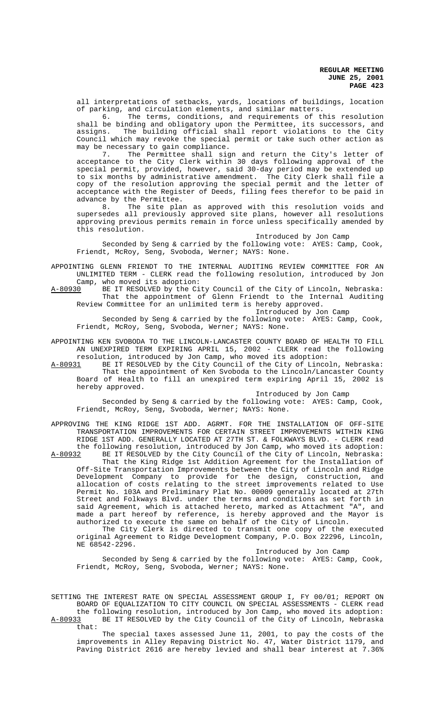all interpretations of setbacks, yards, locations of buildings, location of parking, and circulation elements, and similar matters.<br>6. The terms, conditions, and requirements of t

The terms, conditions, and requirements of this resolution shall be binding and obligatory upon the Permittee, its successors, and assigns. The building official shall report violations to the City Council which may revoke the special permit or take such other action as may be necessary to gain compliance.<br>7. The Permittee shall sic

The Permittee shall sign and return the City's letter of acceptance to the City Clerk within 30 days following approval of the special permit, provided, however, said 30-day period may be extended up to six months by administrative amendment. The City Clerk shall file a copy of the resolution approving the special permit and the letter of acceptance with the Register of Deeds, filing fees therefor to be paid in advance by the Permittee.

8. The site plan as approved with this resolution voids and supersedes all previously approved site plans, however all resolutions approving previous permits remain in force unless specifically amended by this resolution.

Introduced by Jon Camp

Seconded by Seng & carried by the following vote: AYES: Camp, Cook, Friendt, McRoy, Seng, Svoboda, Werner; NAYS: None.

APPOINTING GLENN FRIENDT TO THE INTERNAL AUDITING REVIEW COMMITTEE FOR AN UNLIMITED TERM - CLERK read the following resolution, introduced by Jon

Camp, who moved its adoption:<br>A-80930 BE IT RESOLVED by the Ci A-80930 BE IT RESOLVED by the City Council of the City of Lincoln, Nebraska: That the appointment of Glenn Friendt to the Internal Auditing Review Committee for an unlimited term is hereby approved.

Introduced by Jon Camp

Seconded by Seng & carried by the following vote: AYES: Camp, Cook, Friendt, McRoy, Seng, Svoboda, Werner; NAYS: None.

APPOINTING KEN SVOBODA TO THE LINCOLN-LANCASTER COUNTY BOARD OF HEALTH TO FILL AN UNEXPIRED TERM EXPIRING APRIL 15, 2002 - CLERK read the following resolution, introduced by Jon Camp, who moved its adoption:<br>A-80931 BE IT RESOLVED by the City Council of the City of Linco

BE IT RESOLVED by the City Council of the City of Lincoln, Nebraska: That the appointment of Ken Svoboda to the Lincoln/Lancaster County Board of Health to fill an unexpired term expiring April 15, 2002 is hereby approved.

Introduced by Jon Camp

Seconded by Seng & carried by the following vote: AYES: Camp, Cook, Friendt, McRoy, Seng, Svoboda, Werner; NAYS: None.

APPROVING THE KING RIDGE 1ST ADD. AGRMT. FOR THE INSTALLATION OF OFF-SITE TRANSPORTATION IMPROVEMENTS FOR CERTAIN STREET IMPROVEMENTS WITHIN KING RIDGE 1ST ADD. GENERALLY LOCATED AT 27TH ST. & FOLKWAYS BLVD. - CLERK read the following resolution, introduced by Jon Camp, who moved its adoption:<br>A-80932 BE IT RESOLVED by the City Council of the City of Lincoln, Nebraska: BE IT RESOLVED by the City Council of the City of Lincoln, Nebraska: That the King Ridge 1st Addition Agreement for the Installation of Off-Site Transportation Improvements between the City of Lincoln and Ridge Development Company to provide for the design, construction, and allocation of costs relating to the street improvements related to Use Permit No. 103A and Preliminary Plat No. 00009 generally located at 27th Street and Folkways Blvd. under the terms and conditions as set forth in said Agreement, which is attached hereto, marked as Attachment "A", and made a part hereof by reference, is hereby approved and the Mayor is authorized to execute the same on behalf of the City of Lincoln.

The City Clerk is directed to transmit one copy of the executed original Agreement to Ridge Development Company, P.O. Box 22296, Lincoln, NE 68542-2296.

Introduced by Jon Camp

Seconded by Seng & carried by the following vote: AYES: Camp, Cook, Friendt, McRoy, Seng, Svoboda, Werner; NAYS: None.

SETTING THE INTEREST RATE ON SPECIAL ASSESSMENT GROUP I, FY 00/01; REPORT ON BOARD OF EQUALIZATION TO CITY COUNCIL ON SPECIAL ASSESSMENTS - CLERK read the following resolution, introduced by Jon Camp, who moved its adoption: A-80933 BE IT RESOLVED by the City Council of the City of Lincoln, Nebraska that:

The special taxes assessed June 11, 2001, to pay the costs of the improvements in Alley Repaving District No. 47, Water District 1179, and Paving District 2616 are hereby levied and shall bear interest at 7.36%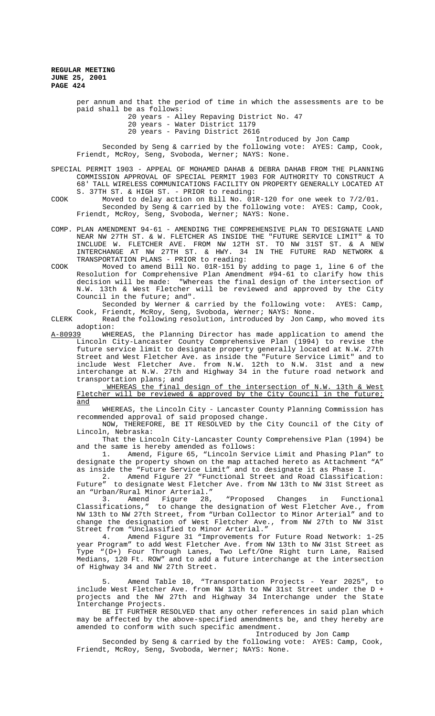> per annum and that the period of time in which the assessments are to be paid shall be as follows: 20 years - Alley Repaving District No. 47 20 years - Water District 1179 20 years - Paving District 2616 Introduced by Jon Camp Seconded by Seng & carried by the following vote: AYES: Camp, Cook, Friendt, McRoy, Seng, Svoboda, Werner; NAYS: None.

SPECIAL PERMIT 1903 - APPEAL OF MOHAMED DAHAB & DEBRA DAHAB FROM THE PLANNING COMMISSION APPROVAL OF SPECIAL PERMIT 1903 FOR AUTHORITY TO CONSTRUCT A 68' TALL WIRELESS COMMUNICATIONS FACILITY ON PROPERTY GENERALLY LOCATED AT S. 37TH ST. & HIGH ST. - PRIOR to reading:

COOK Moved to delay action on Bill No. 01R-120 for one week to 7/2/01. Seconded by Seng & carried by the following vote: AYES: Camp, Cook, Friendt, McRoy, Seng, Svoboda, Werner; NAYS: None.

COMP. PLAN AMENDMENT 94-61 - AMENDING THE COMPREHENSIVE PLAN TO DESIGNATE LAND NEAR NW 27TH ST. & W. FLETCHER AS INSIDE THE "FUTURE SERVICE LIMIT" & TO INCLUDE W. FLETCHER AVE. FROM NW 12TH ST. TO NW 31ST ST. & A NEW INTERCHANGE AT NW 27TH ST. & HWY. 34 IN THE FUTURE RAD NETWORK & TRANSPORTATION PLANS - PRIOR to reading:

COOK Moved to amend Bill No. 01R-151 by adding to page 1, line 6 of the Resolution for Comprehensive Plan Amendment #94-61 to clarify how this decision will be made: "Whereas the final design of the intersection of N.W. 13th & West Fletcher will be reviewed and approved by the City Council in the future; and".

Seconded by Werner & carried by the following vote: AYES: Camp, Cook, Friendt, McRoy, Seng, Svoboda, Werner; NAYS: None.

CLERK Read the following resolution, introduced by Jon Camp, who moved its

adoption:<br>A-80939 WHE WHEREAS, the Planning Director has made application to amend the Lincoln City-Lancaster County Comprehensive Plan (1994) to revise the future service limit to designate property generally located at N.W. 27th Street and West Fletcher Ave. as inside the "Future Service Limit" and to include West Fletcher Ave. from N.W. 12th to N.W. 31st and a new interchange at N.W. 27th and Highway 34 in the future road network and transportation plans; and

 WHEREAS the final design of the intersection of N.W. 13th & West Fletcher will be reviewed & approved by the City Council in the future; and

WHEREAS, the Lincoln City - Lancaster County Planning Commission has recommended approval of said proposed change.

NOW, THEREFORE, BE IT RESOLVED by the City Council of the City of Lincoln, Nebraska:

That the Lincoln City-Lancaster County Comprehensive Plan (1994) be and the same is hereby amended as follows:

1. Amend, Figure 65, "Lincoln Service Limit and Phasing Plan" to designate the property shown on the map attached hereto as Attachment "A" as inside the "Future Service Limit" and to designate it as Phase I.

2. Amend Figure 27 "Functional Street and Road Classification: Future" to designate West Fletcher Ave. from NW 13th to NW 31st Street as an "Urban/Rural Minor Arterial."

3. Amend Figure 28, "Proposed Changes in Functional Classifications," to change the designation of West Fletcher Ave., from NW 13th to NW 27th Street, from "Urban Collector to Minor Arterial" and to change the designation of West Fletcher Ave., from NW 27th to NW 31st Street from "Unclassified to Minor Arterial."

4. Amend Figure 31 "Improvements for Future Road Network: 1-25 year Program" to add West Fletcher Ave. from NW 13th to NW 31st Street as Type "(D+) Four Through Lanes, Two Left/One Right turn Lane, Raised Medians, 120 Ft. ROW" and to add a future interchange at the intersection of Highway 34 and NW 27th Street.

5. Amend Table 10, "Transportation Projects - Year 2025", to include West Fletcher Ave. from NW 13th to NW 31st Street under the D + projects and the NW 27th and Highway 34 Interchange under the State Interchange Projects.

BE IT FURTHER RESOLVED that any other references in said plan which may be affected by the above-specified amendments be, and they hereby are amended to conform with such specific amendment.

Introduced by Jon Camp

Seconded by Seng & carried by the following vote: AYES: Camp, Cook, Friendt, McRoy, Seng, Svoboda, Werner; NAYS: None.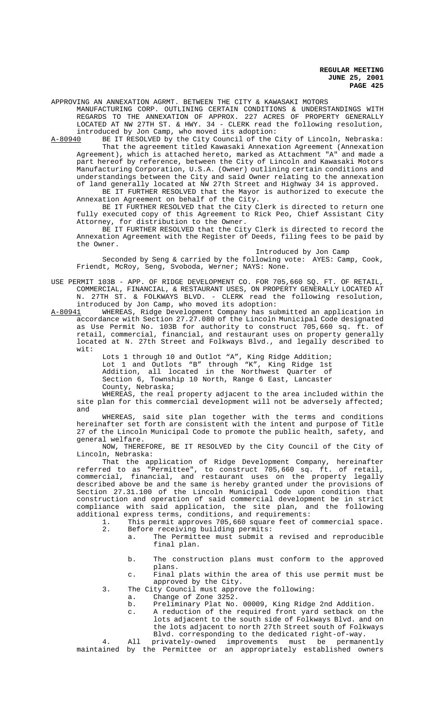APPROVING AN ANNEXATION AGRMT. BETWEEN THE CITY & KAWASAKI MOTORS

MANUFACTURING CORP. OUTLINING CERTAIN CONDITIONS & UNDERSTANDINGS WITH REGARDS TO THE ANNEXATION OF APPROX. 227 ACRES OF PROPERTY GENERALLY LOCATED AT NW 27TH ST. & HWY. 34 - CLERK read the following resolution, introduced by Jon Camp, who moved its adoption:

A-80940 BE IT RESOLVED by the City Council of the City of Lincoln, Nebraska: That the agreement titled Kawasaki Annexation Agreement (Annexation Agreement), which is attached hereto, marked as Attachment "A" and made a part hereof by reference, between the City of Lincoln and Kawasaki Motors Manufacturing Corporation, U.S.A. (Owner) outlining certain conditions and understandings between the City and said Owner relating to the annexation of land generally located at NW 27th Street and Highway 34 is approved. BE IT FURTHER RESOLVED that the Mayor is authorized to execute the

Annexation Agreement on behalf of the City. BE IT FURTHER RESOLVED that the City Clerk is directed to return one

fully executed copy of this Agreement to Rick Peo, Chief Assistant City Attorney, for distribution to the Owner.

BE IT FURTHER RESOLVED that the City Clerk is directed to record the Annexation Agreement with the Register of Deeds, filing fees to be paid by the Owner.

Introduced by Jon Camp

Seconded by Seng & carried by the following vote: AYES: Camp, Cook, Friendt, McRoy, Seng, Svoboda, Werner; NAYS: None.

USE PERMIT 103B - APP. OF RIDGE DEVELOPMENT CO. FOR 705,660 SQ. FT. OF RETAIL, COMMERCIAL, FINANCIAL, & RESTAURANT USES, ON PROPERTY GENERALLY LOCATED AT N. 27TH ST. & FOLKWAYS BLVD. - CLERK read the following resolution, introduced by Jon Camp, who moved its adoption:

A-80941 WHEREAS, Ridge Development Company has submitted an application in accordance with Section 27.27.080 of the Lincoln Municipal Code designated as Use Permit No. 103B for authority to construct 705,660 sq. ft. of retail, commercial, financial, and restaurant uses on property generally located at N. 27th Street and Folkways Blvd., and legally described to wit:

Lots 1 through 10 and Outlot "A", King Ridge Addition; Lot 1 and Outlots "B" through "K", King Ridge 1st Addition, all located in the Northwest Quarter of Section 6, Township 10 North, Range 6 East, Lancaster County, Nebraska;

WHEREAS, the real property adjacent to the area included within the site plan for this commercial development will not be adversely affected; and

WHEREAS, said site plan together with the terms and conditions hereinafter set forth are consistent with the intent and purpose of Title 27 of the Lincoln Municipal Code to promote the public health, safety, and general welfare.

NOW, THEREFORE, BE IT RESOLVED by the City Council of the City of Lincoln, Nebraska:

That the application of Ridge Development Company, hereinafter referred to as "Permittee", to construct 705,660 sq. ft. of retail, commercial, financial, and restaurant uses on the property legally described above be and the same is hereby granted under the provisions of Section 27.31.100 of the Lincoln Municipal Code upon condition that construction and operation of said commercial development be in strict compliance with said application, the site plan, and the following

- additional express terms, conditions, and requirements:<br>1. This permit approves 705,660 square feet of 1. This permit approves 705,660 square feet of commercial space.<br>2. Before receiving building permits: Before receiving building permits:
	- a. The Permittee must submit a revised and reproducible final plan.
	- b. The construction plans must conform to the approved plans.
	- c. Final plats within the area of this use permit must be approved by the City.
	- 3. The City Council must approve the following:
		- a. Change of Zone 3252.
			- b. Preliminary Plat No. 00009, King Ridge 2nd Addition.
			- c. A reduction of the required front yard setback on the lots adjacent to the south side of Folkways Blvd. and on the lots adjacent to north 27th Street south of Folkways Blvd. corresponding to the dedicated right-of-way.

4. All privately-owned improvements must be permanently maintained by the Permittee or an appropriately established owners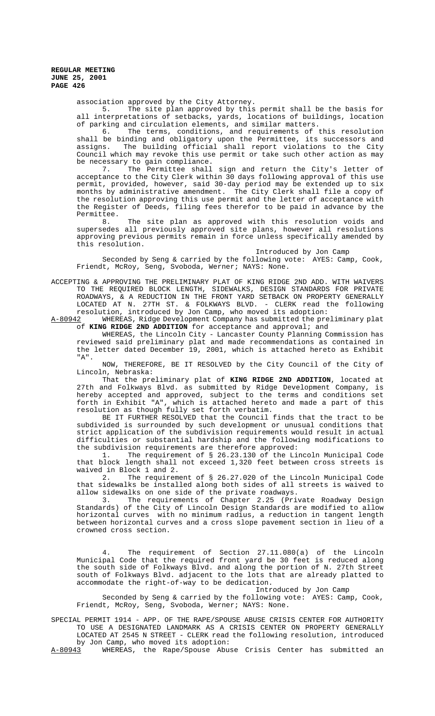association approved by the City Attorney.

5. The site plan approved by this permit shall be the basis for all interpretations of setbacks, yards, locations of buildings, location of parking and circulation elements, and similar matters.

6. The terms, conditions, and requirements of this resolution shall be binding and obligatory upon the Permittee, its successors and assigns. The building official shall report violations to the City Council which may revoke this use permit or take such other action as may be necessary to gain compliance.

7. The Permittee shall sign and return the City's letter of acceptance to the City Clerk within 30 days following approval of this use permit, provided, however, said 30-day period may be extended up to six months by administrative amendment. The City Clerk shall file a copy of the resolution approving this use permit and the letter of acceptance with the Register of Deeds, filing fees therefor to be paid in advance by the Permittee.

8. The site plan as approved with this resolution voids and supersedes all previously approved site plans, however all resolutions approving previous permits remain in force unless specifically amended by this resolution.

Introduced by Jon Camp

Seconded by Seng & carried by the following vote: AYES: Camp, Cook, Friendt, McRoy, Seng, Svoboda, Werner; NAYS: None.

ACCEPTING & APPROVING THE PRELIMINARY PLAT OF KING RIDGE 2ND ADD. WITH WAIVERS TO THE REQUIRED BLOCK LENGTH, SIDEWALKS, DESIGN STANDARDS FOR PRIVATE ROADWAYS, & A REDUCTION IN THE FRONT YARD SETBACK ON PROPERTY GENERALLY LOCATED AT N. 27TH ST. & FOLKWAYS BLVD. - CLERK read the following resolution, introduced by Jon Camp, who moved its adoption:

A-80942 WHEREAS, Ridge Development Company has submitted the preliminary plat of **KING RIDGE 2ND ADDITION** for acceptance and approval; and

WHEREAS, the Lincoln City - Lancaster County Planning Commission has reviewed said preliminary plat and made recommendations as contained in the letter dated December 19, 2001, which is attached hereto as Exhibit "A".

NOW, THEREFORE, BE IT RESOLVED by the City Council of the City of Lincoln, Nebraska:

That the preliminary plat of **KING RIDGE 2ND ADDITION**, located at 27th and Folkways Blvd. as submitted by Ridge Development Company, is hereby accepted and approved, subject to the terms and conditions set forth in Exhibit "A", which is attached hereto and made a part of this resolution as though fully set forth verbatim.

BE IT FURTHER RESOLVED that the Council finds that the tract to be subdivided is surrounded by such development or unusual conditions that strict application of the subdivision requirements would result in actual difficulties or substantial hardship and the following modifications to

the subdivision requirements are therefore approved:<br>1. The requirement of § 26.23.130 of the Lin The requirement of § 26.23.130 of the Lincoln Municipal Code that block length shall not exceed 1,320 feet between cross streets is waived in Block 1 and 2.

2. The requirement of § 26.27.020 of the Lincoln Municipal Code that sidewalks be installed along both sides of all streets is waived to allow sidewalks on one side of the private roadways.

3. The requirements of Chapter 2.25 (Private Roadway Design Standards) of the City of Lincoln Design Standards are modified to allow horizontal curves with no minimum radius, a reduction in tangent length between horizontal curves and a cross slope pavement section in lieu of a crowned cross section.

4. The requirement of Section 27.11.080(a) of the Lincoln Municipal Code that the required front yard be 30 feet is reduced along the south side of Folkways Blvd. and along the portion of N. 27th Street south of Folkways Blvd. adjacent to the lots that are already platted to accommodate the right-of-way to be dedication.

Introduced by Jon Camp

Seconded by Seng & carried by the following vote: AYES: Camp, Cook, Friendt, McRoy, Seng, Svoboda, Werner; NAYS: None.

SPECIAL PERMIT 1914 - APP. OF THE RAPE/SPOUSE ABUSE CRISIS CENTER FOR AUTHORITY TO USE A DESIGNATED LANDMARK AS A CRISIS CENTER ON PROPERTY GENERALLY LOCATED AT 2545 N STREET - CLERK read the following resolution, introduced by Jon Camp, who moved its adoption:<br>A-80943 WHEREAS, the Rape/Spouse Abus

WHEREAS, the Rape/Spouse Abuse Crisis Center has submitted an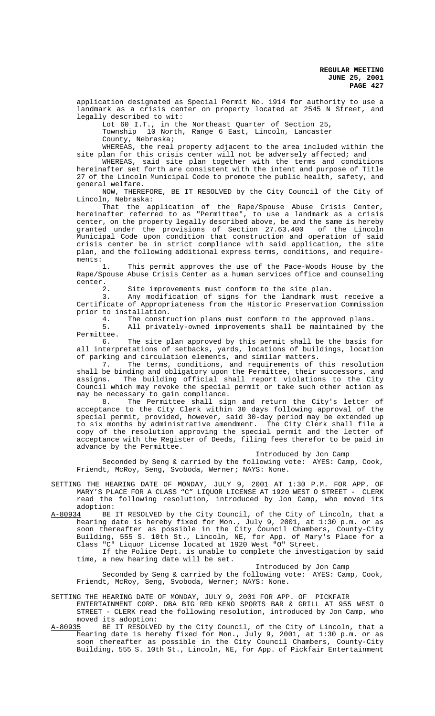application designated as Special Permit No. 1914 for authority to use a landmark as a crisis center on property located at 2545 N Street, and legally described to wit:

Lot 60 I.T., in the Northeast Quarter of Section 25, Township 10 North, Range 6 East, Lincoln, Lancaster County, Nebraska;

WHEREAS, the real property adjacent to the area included within the site plan for this crisis center will not be adversely affected; and

WHEREAS, said site plan together with the terms and conditions hereinafter set forth are consistent with the intent and purpose of Title 27 of the Lincoln Municipal Code to promote the public health, safety, and general welfare.

NOW, THEREFORE, BE IT RESOLVED by the City Council of the City of Lincoln, Nebraska:

That the application of the Rape/Spouse Abuse Crisis Center, hereinafter referred to as "Permittee", to use a landmark as a crisis center, on the property legally described above, be and the same is hereby granted under the provisions of Section 27.63.400 of the Lincoln Municipal Code upon condition that construction and operation of said crisis center be in strict compliance with said application, the site plan, and the following additional express terms, conditions, and requirements:<br>1.

This permit approves the use of the Pace-Woods House by the Rape/Spouse Abuse Crisis Center as a human services office and counseling center.

Site improvements must conform to the site plan.

3. Any modification of signs for the landmark must receive a Certificate of Appropriateness from the Historic Preservation Commission prior to installation.

4. The construction plans must conform to the approved plans.

5. All privately-owned improvements shall be maintained by the Permittee.

6. The site plan approved by this permit shall be the basis for all interpretations of setbacks, yards, locations of buildings, location of parking and circulation elements, and similar matters.<br>7. The terms, conditions, and requirements of

The terms, conditions, and requirements of this resolution shall be binding and obligatory upon the Permittee, their successors, and assigns. The building official shall report violations to the City Council which may revoke the special permit or take such other action as may be necessary to gain compliance.<br>8. The Permittee shall sig

The Permittee shall sign and return the City's letter of acceptance to the City Clerk within 30 days following approval of the special permit, provided, however, said 30-day period may be extended up to six months by administrative amendment. The City Clerk shall file a copy of the resolution approving the special permit and the letter of acceptance with the Register of Deeds, filing fees therefor to be paid in advance by the Permittee.

# Introduced by Jon Camp

Seconded by Seng & carried by the following vote: AYES: Camp, Cook, Friendt, McRoy, Seng, Svoboda, Werner; NAYS: None.

- SETTING THE HEARING DATE OF MONDAY, JULY 9, 2001 AT 1:30 P.M. FOR APP. OF MARY'S PLACE FOR A CLASS "C" LIQUOR LICENSE AT 1920 WEST O STREET - CLERK read the following resolution, introduced by Jon Camp, who moved its adoption:
- A-80934 BE IT RESOLVED by the City Council, of the City of Lincoln, that a hearing date is hereby fixed for Mon., July 9, 2001, at 1:30 p.m. or as soon thereafter as possible in the City Council Chambers, County-City Building, 555 S. 10th St., Lincoln, NE, for App. of Mary's Place for a Class "C" Liquor License located at 1920 West "O" Street.

If the Police Dept. is unable to complete the investigation by said time, a new hearing date will be set.

Introduced by Jon Camp

Seconded by Seng & carried by the following vote: AYES: Camp, Cook, Friendt, McRoy, Seng, Svoboda, Werner; NAYS: None.

## SETTING THE HEARING DATE OF MONDAY, JULY 9, 2001 FOR APP. OF PICKFAIR

- ENTERTAINMENT CORP. DBA BIG RED KENO SPORTS BAR & GRILL AT 955 WEST O STREET - CLERK read the following resolution, introduced by Jon Camp, who
- moved its adoption:<br>A-80935 BE IT RESOLVED BE IT RESOLVED by the City Council, of the City of Lincoln, that a hearing date is hereby fixed for Mon., July 9, 2001, at 1:30 p.m. or as soon thereafter as possible in the City Council Chambers, County-City Building, 555 S. 10th St., Lincoln, NE, for App. of Pickfair Entertainment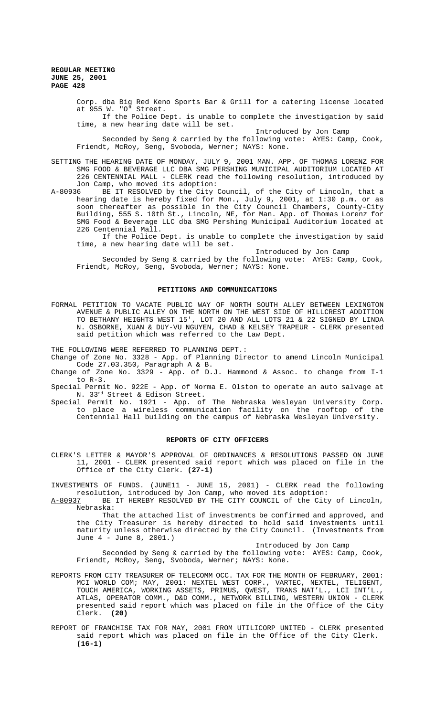> Corp. dba Big Red Keno Sports Bar & Grill for a catering license located at 955 W. "O" Street.

> If the Police Dept. is unable to complete the investigation by said time, a new hearing date will be set.

Introduced by Jon Camp

Seconded by Seng & carried by the following vote: AYES: Camp, Cook, Friendt, McRoy, Seng, Svoboda, Werner; NAYS: None.

SETTING THE HEARING DATE OF MONDAY, JULY 9, 2001 MAN. APP. OF THOMAS LORENZ FOR SMG FOOD & BEVERAGE LLC DBA SMG PERSHING MUNICIPAL AUDITORIUM LOCATED AT 226 CENTENNIAL MALL - CLERK read the following resolution, introduced by Jon Camp, who moved its adoption:<br>A-80936 BE IT RESOLVED by the City

A-80936 BE IT RESOLVED by the City Council, of the City of Lincoln, that a hearing date is hereby fixed for Mon., July 9, 2001, at 1:30 p.m. or as soon thereafter as possible in the City Council Chambers, County-City Building, 555 S. 10th St., Lincoln, NE, for Man. App. of Thomas Lorenz for SMG Food & Beverage LLC dba SMG Pershing Municipal Auditorium located at 226 Centennial Mall.

If the Police Dept. is unable to complete the investigation by said time, a new hearing date will be set.

Introduced by Jon Camp

Seconded by Seng & carried by the following vote: AYES: Camp, Cook, Friendt, McRoy, Seng, Svoboda, Werner; NAYS: None.

## **PETITIONS AND COMMUNICATIONS**

FORMAL PETITION TO VACATE PUBLIC WAY OF NORTH SOUTH ALLEY BETWEEN LEXINGTON AVENUE & PUBLIC ALLEY ON THE NORTH ON THE WEST SIDE OF HILLCREST ADDITION TO BETHANY HEIGHTS WEST 15', LOT 20 AND ALL LOTS 21 & 22 SIGNED BY LINDA N. OSBORNE, XUAN & DUY-VU NGUYEN, CHAD & KELSEY TRAPEUR - CLERK presented said petition which was referred to the Law Dept.

THE FOLLOWING WERE REFERRED TO PLANNING DEPT.:

Change of Zone No. 3328 - App. of Planning Director to amend Lincoln Municipal Code 27.03.350, Paragraph A & B.

Change of Zone No. 3329 - App. of D.J. Hammond & Assoc. to change from I-1 to R-3.

Special Permit No. 922E - App. of Norma E. Olston to operate an auto salvage at N. 33rd Street & Edison Street.

Special Permit No. 1921 - App. of The Nebraska Wesleyan University Corp. to place a wireless communication facility on the rooftop of the Centennial Hall building on the campus of Nebraska Wesleyan University.

### **REPORTS OF CITY OFFICERS**

CLERK'S LETTER & MAYOR'S APPROVAL OF ORDINANCES & RESOLUTIONS PASSED ON JUNE 11, 2001 - CLERK presented said report which was placed on file in the Office of the City Clerk. **(27-1)**

INVESTMENTS OF FUNDS. (JUNE11 - JUNE 15, 2001) - CLERK read the following resolution, introduced by Jon Camp, who moved its adoption:

A-80937 BE IT HEREBY RESOLVED BY THE CITY COUNCIL of the City of Lincoln, Nebraska:

That the attached list of investments be confirmed and approved, and the City Treasurer is hereby directed to hold said investments until maturity unless otherwise directed by the City Council. (Investments from June 4 - June 8, 2001.)

Introduced by Jon Camp

Seconded by Seng & carried by the following vote: AYES: Camp, Cook, Friendt, McRoy, Seng, Svoboda, Werner; NAYS: None.

- REPORTS FROM CITY TREASURER OF TELECOMM OCC. TAX FOR THE MONTH OF FEBRUARY, 2001: MCI WORLD COM; MAY, 2001: NEXTEL WEST CORP., VARTEC, NEXTEL, TELIGENT, TOUCH AMERICA, WORKING ASSETS, PRIMUS, QWEST, TRANS NAT'L., LCI INT'L., ATLAS, OPERATOR COMM., D&D COMM., NETWORK BILLING, WESTERN UNION - CLERK presented said report which was placed on file in the Office of the City Clerk. **(20)**
- REPORT OF FRANCHISE TAX FOR MAY, 2001 FROM UTILICORP UNITED CLERK presented said report which was placed on file in the Office of the City Clerk. **(16-1)**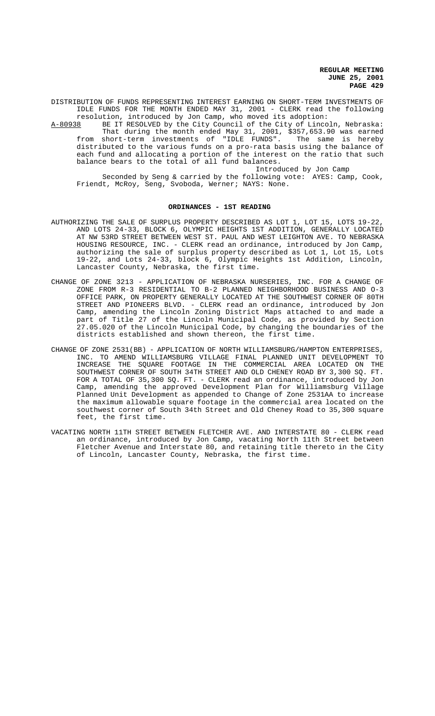DISTRIBUTION OF FUNDS REPRESENTING INTEREST EARNING ON SHORT-TERM INVESTMENTS OF IDLE FUNDS FOR THE MONTH ENDED MAY 31, 2001 - CLERK read the following resolution, introduced by Jon Camp, who moved its adoption:

A-80938 BE IT RESOLVED by the City Council of the City of Lincoln, Nebraska: That during the month ended May 31, 2001, \$357,653.90 was earned from short-term investments of "IDLE FUNDS". The same is hereby distributed to the various funds on a pro-rata basis using the balance of each fund and allocating a portion of the interest on the ratio that such balance bears to the total of all fund balances.

Introduced by Jon Camp

Seconded by Seng & carried by the following vote: AYES: Camp, Cook, Friendt, McRoy, Seng, Svoboda, Werner; NAYS: None.

### **ORDINANCES - 1ST READING**

- AUTHORIZING THE SALE OF SURPLUS PROPERTY DESCRIBED AS LOT 1, LOT 15, LOTS 19-22, AND LOTS 24-33, BLOCK 6, OLYMPIC HEIGHTS 1ST ADDITION, GENERALLY LOCATED AT NW 53RD STREET BETWEEN WEST ST. PAUL AND WEST LEIGHTON AVE. TO NEBRASKA HOUSING RESOURCE, INC. - CLERK read an ordinance, introduced by Jon Camp, authorizing the sale of surplus property described as Lot 1, Lot 15, Lots 19-22, and Lots 24-33, block 6, Olympic Heights 1st Addition, Lincoln, Lancaster County, Nebraska, the first time.
- CHANGE OF ZONE 3213 APPLICATION OF NEBRASKA NURSERIES, INC. FOR A CHANGE OF ZONE FROM R-3 RESIDENTIAL TO B-2 PLANNED NEIGHBORHOOD BUSINESS AND O-3 OFFICE PARK, ON PROPERTY GENERALLY LOCATED AT THE SOUTHWEST CORNER OF 80TH STREET AND PIONEERS BLVD. - CLERK read an ordinance, introduced by Jon Camp, amending the Lincoln Zoning District Maps attached to and made a of Title 27 of the Lincoln Municipal Code, as provided by Section 27.05.020 of the Lincoln Municipal Code, by changing the boundaries of the districts established and shown thereon, the first time.
- CHANGE OF ZONE 2531(BB) APPLICATION OF NORTH WILLIAMSBURG/HAMPTON ENTERPRISES, INC. TO AMEND WILLIAMSBURG VILLAGE FINAL PLANNED UNIT DEVELOPMENT TO INCREASE THE SQUARE FOOTAGE IN THE COMMERCIAL AREA LOCATED ON THE SOUTHWEST CORNER OF SOUTH 34TH STREET AND OLD CHENEY ROAD BY 3,300 SQ. FT. FOR A TOTAL OF 35,300 SQ. FT. - CLERK read an ordinance, introduced by Jon Camp, amending the approved Development Plan for Williamsburg Village Planned Unit Development as appended to Change of Zone 2531AA to increase the maximum allowable square footage in the commercial area located on the southwest corner of South 34th Street and Old Cheney Road to 35,300 square feet, the first time.
- VACATING NORTH 11TH STREET BETWEEN FLETCHER AVE. AND INTERSTATE 80 CLERK read an ordinance, introduced by Jon Camp, vacating North 11th Street between Fletcher Avenue and Interstate 80, and retaining title thereto in the City of Lincoln, Lancaster County, Nebraska, the first time.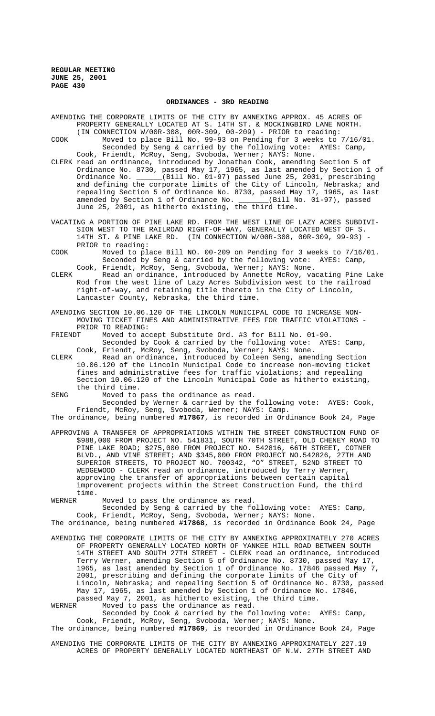### **ORDINANCES - 3RD READING**

AMENDING THE CORPORATE LIMITS OF THE CITY BY ANNEXING APPROX. 45 ACRES OF PROPERTY GENERALLY LOCATED AT S. 14TH ST. & MOCKINGBIRD LANE NORTH. (IN CONNECTION W/00R-308, 00R-309, 00-209) - PRIOR to reading:

- COOK Moved to place Bill No. 99-93 on Pending for 3 weeks to 7/16/01. Seconded by Seng & carried by the following vote: AYES: Camp, Cook, Friendt, McRoy, Seng, Svoboda, Werner; NAYS: None.
- CLERK read an ordinance, introduced by Jonathan Cook, amending Section 5 of Ordinance No. 8730, passed May 17, 1965, as last amended by Section 1 of Ordinance No. \_\_\_\_\_\_(Bill No. 01-97) passed June 25, 2001, prescribing and defining the corporate limits of the City of Lincoln, Nebraska; and repealing Section 5 of Ordinance No. 8730, passed May 17, 1965, as last amended by Section 1 of Ordinance No. \_\_\_\_\_\_(Bill No. 01-97), passed amended by Section 1 of Ordinance No.  $\_\_$ June 25, 2001, as hitherto existing, the third time.
- VACATING A PORTION OF PINE LAKE RD. FROM THE WEST LINE OF LAZY ACRES SUBDIVI-SION WEST TO THE RAILROAD RIGHT-OF-WAY, GENERALLY LOCATED WEST OF S. 14TH ST. & PINE LAKE RD. (IN CONNECTION W/00R-308, 00R-309, 99-93) - PRIOR to reading:
- COOK Moved to place Bill NO. 00-209 on Pending for 3 weeks to 7/16/01. Seconded by Seng & carried by the following vote: AYES: Camp, Cook, Friendt, McRoy, Seng, Svoboda, Werner; NAYS: None.
- CLERK Read an ordinance, introduced by Annette McRoy, vacating Pine Lake Rod from the west line of Lazy Acres Subdivision west to the railroad right-of-way, and retaining title thereto in the City of Lincoln, Lancaster County, Nebraska, the third time.
- AMENDING SECTION 10.06.120 OF THE LINCOLN MUNICIPAL CODE TO INCREASE NON-MOVING TICKET FINES AND ADMINISTRATIVE FEES FOR TRAFFIC VIOLATIONS - PRIOR TO READING:<br>FRIENDT Moved to ac
- FRIENDT Moved to accept Substitute Ord. #3 for Bill No. 01-90. Seconded by Cook & carried by the following vote: AYES: Camp, Cook, Friendt, McRoy, Seng, Svoboda, Werner; NAYS: None.
- CLERK Read an ordinance, introduced by Coleen Seng, amending Section 10.06.120 of the Lincoln Municipal Code to increase non-moving ticket fines and administrative fees for traffic violations; and repealing Section 10.06.120 of the Lincoln Municipal Code as hitherto existing, the third time.
- SENG Moved to pass the ordinance as read.

Seconded by Werner & carried by the following vote: AYES: Cook, Friendt, McRoy, Seng, Svoboda, Werner; NAYS: Camp.

The ordinance, being numbered **#17867**, is recorded in Ordinance Book 24, Page

APPROVING A TRANSFER OF APPROPRIATIONS WITHIN THE STREET CONSTRUCTION FUND OF \$988,000 FROM PROJECT NO. 541831, SOUTH 70TH STREET, OLD CHENEY ROAD TO PINE LAKE ROAD; \$275,000 FROM PROJECT NO. 542816, 66TH STREET, COTNER BLVD., AND VINE STREET; AND \$345,000 FROM PROJECT NO.542826, 27TH AND SUPERIOR STREETS, TO PROJECT NO. 700342, "O" STREET, 52ND STREET TO WEDGEWOOD - CLERK read an ordinance, introduced by Terry Werner, approving the transfer of appropriations between certain capital improvement projects within the Street Construction Fund, the third time.

WERNER Moved to pass the ordinance as read.

Seconded by Seng & carried by the following vote: AYES: Camp,

Cook, Friendt, McRoy, Seng, Svoboda, Werner; NAYS: None. The ordinance, being numbered **#17868**, is recorded in Ordinance Book 24, Page

AMENDING THE CORPORATE LIMITS OF THE CITY BY ANNEXING APPROXIMATELY 270 ACRES OF PROPERTY GENERALLY LOCATED NORTH OF YANKEE HILL ROAD BETWEEN SOUTH 14TH STREET AND SOUTH 27TH STREET - CLERK read an ordinance, introduced Terry Werner, amending Section 5 of Ordinance No. 8730, passed May 17, 1965, as last amended by Section 1 of Ordinance No. 17846 passed May 7, 2001, prescribing and defining the corporate limits of the City of Lincoln, Nebraska; and repealing Section 5 of Ordinance No. 8730, passed May 17, 1965, as last amended by Section 1 of Ordinance No. 17846,

passed May 7, 2001, as hitherto existing, the third time.<br>WERNER Moved to pass the ordinance as read. Moved to pass the ordinance as read. Seconded by Cook & carried by the following vote: AYES: Camp,

Cook, Friendt, McRoy, Seng, Svoboda, Werner; NAYS: None. The ordinance, being numbered **#17869**, is recorded in Ordinance Book 24, Page

AMENDING THE CORPORATE LIMITS OF THE CITY BY ANNEXING APPROXIMATELY 227.19 ACRES OF PROPERTY GENERALLY LOCATED NORTHEAST OF N.W. 27TH STREET AND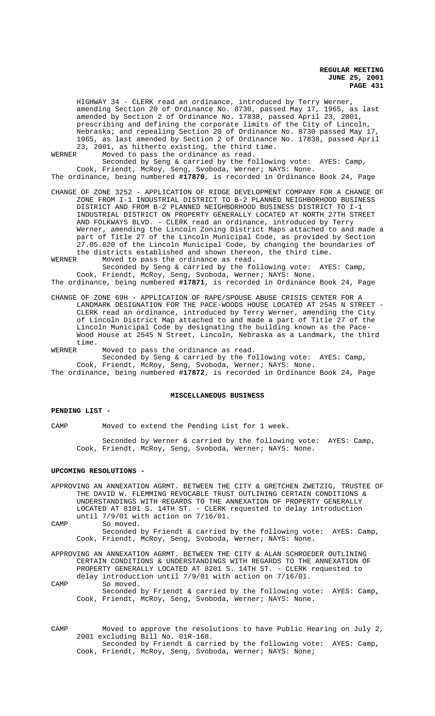HIGHWAY 34 - CLERK read an ordinance, introduced by Terry Werner, amending Section 20 of Ordinance No. 8730, passed May 17, 1965, as last amended by Section 2 of Ordinance No. 17838, passed April 23, 2001, prescribing and defining the corporate limits of the City of Lincoln, Nebraska; and repealing Section 20 of Ordinance No. 8730 passed May 17, 1965, as last amended by Section 2 of Ordinance No. 17838, passed April 23, 2001, as hitherto existing, the third time.

WERNER Moved to pass the ordinance as read. Seconded by Seng & carried by the following vote: AYES: Camp,

Cook, Friendt, McRoy, Seng, Svoboda, Werner; NAYS: None. The ordinance, being numbered **#17870**, is recorded in Ordinance Book 24, Page

CHANGE OF ZONE 3252 - APPLICATION OF RIDGE DEVELOPMENT COMPANY FOR A CHANGE OF ZONE FROM I-1 INDUSTRIAL DISTRICT TO B-2 PLANNED NEIGHBORHOOD BUSINESS DISTRICT AND FROM B-2 PLANNED NEIGHBORHOOD BUSINESS DISTRICT TO I-1 INDUSTRIAL DISTRICT ON PROPERTY GENERALLY LOCATED AT NORTH 27TH STREET AND FOLKWAYS BLVD. - CLERK read an ordinance, introduced by Terry Werner, amending the Lincoln Zoning District Maps attached to and made a part of Title 27 of the Lincoln Municipal Code, as provided by Section 27.05.020 of the Lincoln Municipal Code, by changing the boundaries of the districts established and shown thereon, the third time.

WERNER Moved to pass the ordinance as read. Seconded by Seng & carried by the following vote: AYES: Camp, Cook, Friendt, McRoy, Seng, Svoboda, Werner; NAYS: None. The ordinance, being numbered **#17871**, is recorded in Ordinance Book 24, Page

CHANGE OF ZONE 69H - APPLICATION OF RAPE/SPOUSE ABUSE CRISIS CENTER FOR A LANDMARK DESIGNATION FOR THE PACE-WOODS HOUSE LOCATED AT 2545 N STREET - CLERK read an ordinance, introduced by Terry Werner, amending the City of Lincoln District Map attached to and made a part of Title 27 of the Lincoln Municipal Code by designating the building known as the Pace-Wood House at 2545 N Street, Lincoln, Nebraska as a Landmark, the third time.<br>WERNER

Moved to pass the ordinance as read. Seconded by Seng & carried by the following vote: AYES: Camp, Cook, Friendt, McRoy, Seng, Svoboda, Werner; NAYS: None. The ordinance, being numbered **#17872**, is recorded in Ordinance Book 24, Page

## **MISCELLANEOUS BUSINESS**

### **PENDING LIST -**

CAMP Moved to extend the Pending List for 1 week.

Seconded by Werner & carried by the following vote: AYES: Camp, Cook, Friendt, McRoy, Seng, Svoboda, Werner; NAYS: None.

#### **UPCOMING RESOLUTIONS -**

APPROVING AN ANNEXATION AGRMT. BETWEEN THE CITY & GRETCHEN ZWETZIG, TRUSTEE OF THE DAVID W. FLEMMING REVOCABLE TRUST OUTLINING CERTAIN CONDITIONS & UNDERSTANDINGS WITH REGARDS TO THE ANNEXATION OF PROPERTY GENERALLY LOCATED AT 8101 S. 14TH ST. - CLERK requested to delay introduction until 7/9/01 with action on 7/16/01.

CAMP So moved. Seconded by Friendt & carried by the following vote: AYES: Camp, Cook, Friendt, McRoy, Seng, Svoboda, Werner; NAYS: None.

APPROVING AN ANNEXATION AGRMT. BETWEEN THE CITY & ALAN SCHROEDER OUTLINING CERTAIN CONDITIONS & UNDERSTANDINGS WITH REGARDS TO THE ANNEXATION OF PROPERTY GENERALLY LOCATED AT 8201 S. 14TH ST. - CLERK requested to delay introduction until 7/9/01 with action on 7/16/01. CAMP So moved.

Seconded by Friendt & carried by the following vote: AYES: Camp, Cook, Friendt, McRoy, Seng, Svoboda, Werner; NAYS: None.

CAMP Moved to approve the resolutions to have Public Hearing on July 2, 2001 excluding Bill No. 01R-168. Seconded by Friendt & carried by the following vote: AYES: Camp, Cook, Friendt, McRoy, Seng, Svoboda, Werner; NAYS: None;